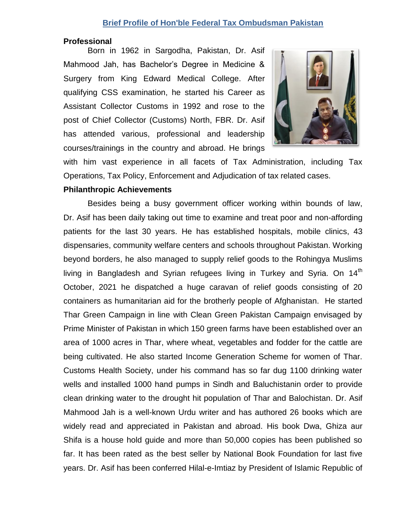## **Brief Profile of Hon'ble Federal Tax Ombudsman Pakistan**

## **Professional**

Born in 1962 in Sargodha, Pakistan, Dr. Asif Mahmood Jah, has Bachelor's Degree in Medicine & Surgery from King Edward Medical College. After qualifying CSS examination, he started his Career as Assistant Collector Customs in 1992 and rose to the post of Chief Collector (Customs) North, FBR. Dr. Asif has attended various, professional and leadership courses/trainings in the country and abroad. He brings



with him vast experience in all facets of Tax Administration, including Tax Operations, Tax Policy, Enforcement and Adjudication of tax related cases.

## **Philanthropic Achievements**

Besides being a busy government officer working within bounds of law, Dr. Asif has been daily taking out time to examine and treat poor and non-affording patients for the last 30 years. He has established hospitals, mobile clinics, 43 dispensaries, community welfare centers and schools throughout Pakistan. Working beyond borders, he also managed to supply relief goods to the Rohingya Muslims living in Bangladesh and Syrian refugees living in Turkey and Syria. On  $14<sup>th</sup>$ October, 2021 he dispatched a huge caravan of relief goods consisting of 20 containers as humanitarian aid for the brotherly people of Afghanistan. He started Thar Green Campaign in line with Clean Green Pakistan Campaign envisaged by Prime Minister of Pakistan in which 150 green farms have been established over an area of 1000 acres in Thar, where wheat, vegetables and fodder for the cattle are being cultivated. He also started Income Generation Scheme for women of Thar. Customs Health Society, under his command has so far dug 1100 drinking water wells and installed 1000 hand pumps in Sindh and Baluchistanin order to provide clean drinking water to the drought hit population of Thar and Balochistan. Dr. Asif Mahmood Jah is a well-known Urdu writer and has authored 26 books which are widely read and appreciated in Pakistan and abroad. His book Dwa, Ghiza aur Shifa is a house hold guide and more than 50,000 copies has been published so far. It has been rated as the best seller by National Book Foundation for last five years. Dr. Asif has been conferred Hilal-e-Imtiaz by President of Islamic Republic of